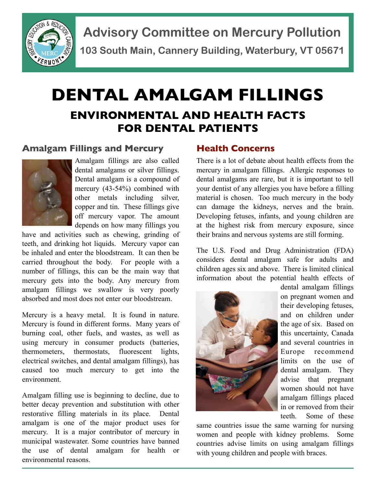

**Advisory Committee on Mercury Pollution 103 South Main, Cannery Building, Waterbury, VT 05671**

# **DENTAL AMALGAM FILLINGS ENVIRONMENTAL AND HEALTH FACTS FOR DENTAL PATIENTS**

#### **Amalgam Fillings and Mercury**



Amalgam fillings are also called dental amalgams or silver fillings. Dental amalgam is a compound of mercury (43-54%) combined with other metals including silver, copper and tin. These fillings give off mercury vapor. The amount depends on how many fillings you

have and activities such as chewing, grinding of teeth, and drinking hot liquids. Mercury vapor can be inhaled and enter the bloodstream. It can then be carried throughout the body. For people with a number of fillings, this can be the main way that mercury gets into the body. Any mercury from amalgam fillings we swallow is very poorly absorbed and most does not enter our bloodstream.

Mercury is a heavy metal. It is found in nature. Mercury is found in different forms. Many years of burning coal, other fuels, and wastes, as well as using mercury in consumer products (batteries, thermometers, thermostats, fluorescent lights, electrical switches, and dental amalgam fillings), has caused too much mercury to get into the environment.

Amalgam filling use is beginning to decline, due to better decay prevention and substitution with other restorative filling materials in its place. Dental amalgam is one of the major product uses for mercury. It is a major contributor of mercury in municipal wastewater. Some countries have banned the use of dental amalgam for health or environmental reasons.

#### **Health Concerns**

There is a lot of debate about health effects from the mercury in amalgam fillings. Allergic responses to dental amalgams are rare, but it is important to tell your dentist of any allergies you have before a filling material is chosen. Too much mercury in the body can damage the kidneys, nerves and the brain. Developing fetuses, infants, and young children are at the highest risk from mercury exposure, since their brains and nervous systems are still forming.

The U.S. Food and Drug Administration (FDA) considers dental amalgam safe for adults and children ages six and above. There is limited clinical information about the potential health effects of



dental amalgam fillings on pregnant women and their developing fetuses, and on children under the age of six. Based on this uncertainty, Canada and several countries in Europe recommend limits on the use of dental amalgam. They advise that pregnant women should not have amalgam fillings placed in or removed from their teeth. Some of these

same countries issue the same warning for nursing women and people with kidney problems. Some countries advise limits on using amalgam fillings with young children and people with braces.